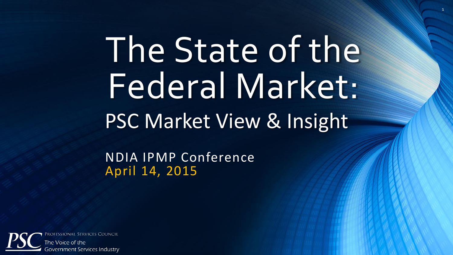# The State of the Federal Market: PSC Market View & Insight

1

NDIA IPMP Conference April 14, 2015

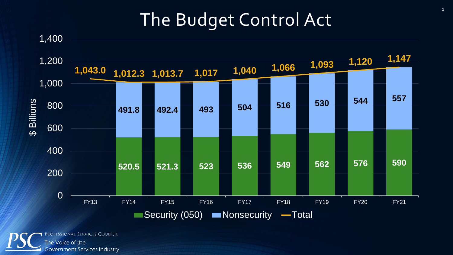## The Budget Control Act



ROFESSIONAL SERVICES COUNCIL The Voice of the **Government Services Industry**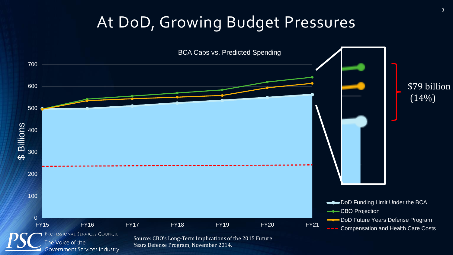### At DoD, Growing Budget Pressures

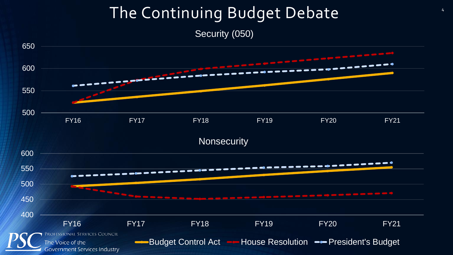# The Continuing Budget Debate

Security (050)

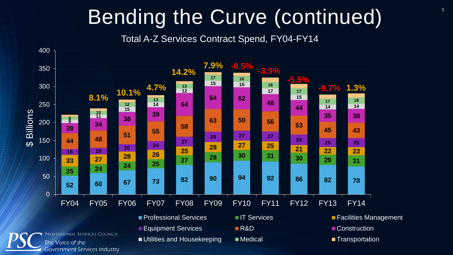# Bending the Curve (continued)

Total A-Z Services Contract Spend, FY04-FY14

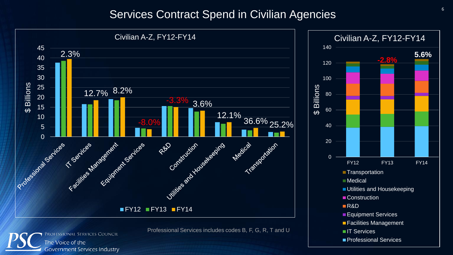#### Services Contract Spend in Civilian Agencies



**Government Services Industry** 

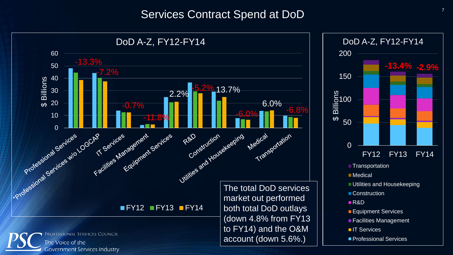#### Services Contract Spend at DoD

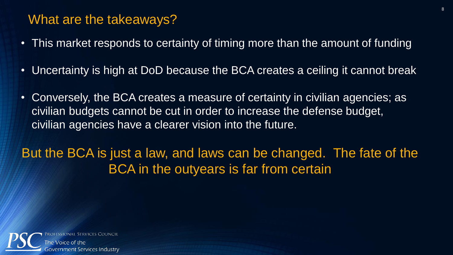#### What are the takeaways?

- This market responds to certainty of timing more than the amount of funding
- Uncertainty is high at DoD because the BCA creates a ceiling it cannot break
- Conversely, the BCA creates a measure of certainty in civilian agencies; as civilian budgets cannot be cut in order to increase the defense budget, civilian agencies have a clearer vision into the future.

But the BCA is just a law, and laws can be changed. The fate of the BCA in the outyears is far from certain

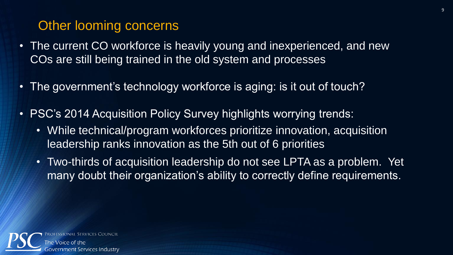#### Other looming concerns

- The current CO workforce is heavily young and inexperienced, and new COs are still being trained in the old system and processes
- The government's technology workforce is aging: is it out of touch?
- PSC's 2014 Acquisition Policy Survey highlights worrying trends:
	- While technical/program workforces prioritize innovation, acquisition leadership ranks innovation as the 5th out of 6 priorities
	- Two-thirds of acquisition leadership do not see LPTA as a problem. Yet many doubt their organization's ability to correctly define requirements.